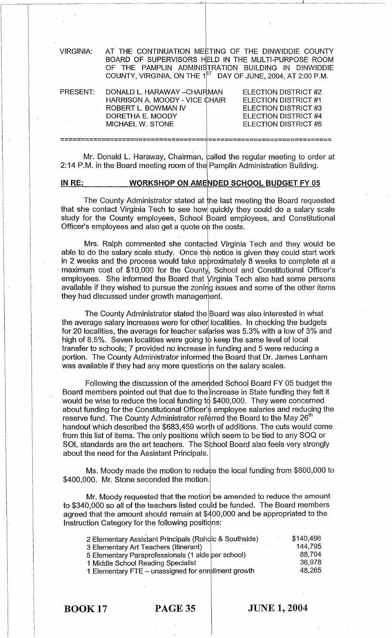VIRGINIA: AT THE CONTINUATION MEETING OF THE DINWIDDIE COUNTY BOARD OF SUPERVISORS HELD IN THE MULTI-PURPOSE ROOM OF THE PAMPLIN ADMINISTRATION BUILDING IN DINWIDDIE COUNTY, VIRGINIA, ON THE  $1^{\text{ST}}$  DAY OF JUNE, 2004, AT 2:00 P.M.

| PRESENT: | DONALD L. HARAWAY --CHAIRMAN   | ELECTION DISTRICT #2        |
|----------|--------------------------------|-----------------------------|
|          | HARRISON A. MOODY - VICE CHAIR | ELECTION DISTRICT #1        |
|          | ROBERT L. BOWMAN IV            | ELECTION DISTRICT #3        |
|          | DORETHA E. MOODY               | <b>ELECTION DISTRICT #4</b> |
|          | MICHAEL W. STONE               | ELECTION DISTRICT #5        |
|          |                                |                             |

Mr. Donald L. Haraway, Chairman, called the regular meeting to order at 2:14 P.M. in the Board meeting room of the Pamplin Administration Building.

## **IN RE: WORKSHOP ON AMENDED SCHOOL BUDGET FY 05**

The County Administrator stated at the last meeting the Board requested that she contact Virginia Tech to see how quickly they could do a salary scale study for the County employees, School Board employees, and Constitutional Officer's employees and also get a quote on the costs.

Mrs. Ralph commented she contacted Virginia Tech and they would be able to do the salary scale study. Once the notice is given they could start work in 2 weeks and the process would take approximately 8 weeks to complete at a maximum cost of \$10,000 for the County, School and Constitutional Officer's employees. She informed the Board that Yirginia Tech also had some persons available if they wished to pursue the zoning issues and some of the other items they had discussed under growth management.

The County Administrator stated the Board was also interested in what the average salary increases were for other localities. In checking the budgets for 20 localities, the average for teacher salaries was 5.3% with a low of 3% and high of 8.5%. Seven localities were going to keep the same level of local transfer to schools; 7 provided no increase in funding and 5 were reducing a portion. The County Administrator informed the Board that Dr. James Lanham was available if they had any more questions on the salary scales.

Following the discussion of the amended School Board FY 05 budget the Board members pointed out that due to the lincrease in State funding they felt it would be wise to reduce the local funding to  $$400,000$ . They were concerned about funding for the Constitutional Officer's employee salaries and reducing the reserve fund. The County Administrator referred the Board to the May  $26<sup>tr</sup>$ handout which described the \$683,459 worth of additions. The cuts would come from this list of items. The only positions which seem to be tied to any SOQ or SOL standards are the art teachers. The School Board also feels very strongly about the need for the Assistant Principals.

Ms. Moody made the motion to reduce the local funding from \$800,000 to \$400,000. Mr. Stone seconded the motion.

Mr. Moody requested that the motion be amended to reduce the amount to \$340,000 so all of the teachers listed could be funded. The Board members agreed that the amount should remain at \$400,000 and be appropriated to the Instruction Category for the following positions:

| 2 Elementary Assistant Principals (Rohoic & Southside) | \$140,496 |
|--------------------------------------------------------|-----------|
| 3 Elementary Art Teachers (Itinerant)                  | 144.795   |
| 5 Elementary Paraprofessionals (1 aide per school)     | 88,704    |
| 1 Middle School Reading Specialist                     | 36,978    |
| 1 Elementary FTE - unassigned for enrollment growth    | 48,265    |

BOOK 17 PAGE 35 **JUNE 1,2004**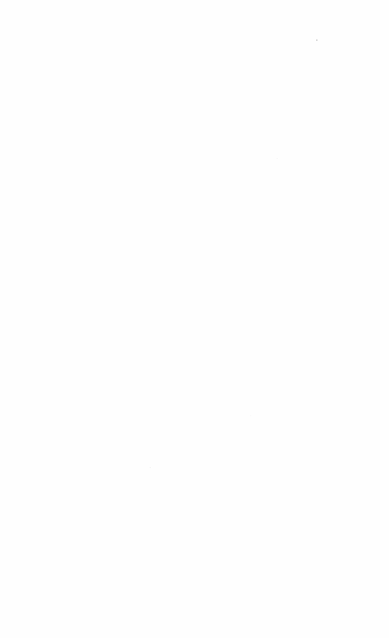$\label{eq:2.1} \frac{1}{\sqrt{2}}\int_{0}^{\infty}\frac{1}{\sqrt{2\pi}}\left(\frac{1}{\sqrt{2\pi}}\right)^{2}d\mu\int_{0}^{\infty}\frac{1}{\sqrt{2\pi}}\left(\frac{1}{\sqrt{2\pi}}\right)^{2}d\mu\int_{0}^{\infty}\frac{1}{\sqrt{2\pi}}\left(\frac{1}{\sqrt{2\pi}}\right)^{2}d\mu\int_{0}^{\infty}\frac{1}{\sqrt{2\pi}}\frac{1}{\sqrt{2\pi}}\frac{1}{\sqrt{2\pi}}\frac{1}{\sqrt{2\pi}}\frac{1}{\sqrt{2\pi}}$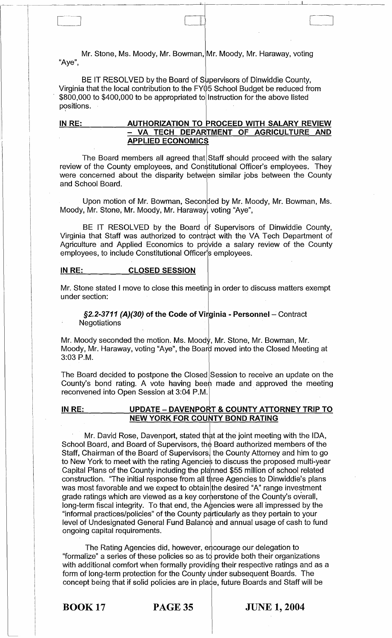Mr. Stone, Ms. Moody, Mr. Bowman, Mr. Moody, Mr. Haraway, voting "Aye",

BE IT RESOLVED by the Board of Supervisors of Dinwiddie County, Virginia that the local contribution to the FY05 School Budget be reduced from \$800,000 to \$400,000 to be appropriated to Instruction for the above listed positions.

#### IN RE: \_\_\_\_\_\_\_ AUTHORIZATION TO PROCEED WITH SALARY REVIEW VA TECH DEPARTMENT OF AGRICULTURE AND APPLIED ECONOMICS

The Board members all agreed that Staff should proceed with the salary review of the County employees, and Constitutional Officer's employees. They were concerned about the disparity between similar jobs between the County and School Board.

Upon motion of Mr. Bowman, Seconded by Mr. Moody, Mr. Bowman, Ms. Moody, Mr. Stone, Mr. Moody, Mr. Harawayl voting "Aye",

BE IT RESOLVED by the Board of Supervisors of Dinwiddie County, Virginia that Staff was authorized to contract with the VA Tech Department of Agriculture and Applied Economics to provide a salary review of the County employees, to include Constitutional Officer's employees.

#### IN RE: CLOSED SESSION

Mr. Stone stated I move to close this meeting in order to discuss matters exempt under section:

 $\S$ 2.2-3711 (A)(30) of the Code of Virginia - Personnel – Contract **Negotiations** 

Mr. Moody seconded the motion. Ms. Moody, Mr. Stone, Mr. Bowman, Mr. Moody, Mr. Haraway, voting "Aye", the Board moved into the Closed Meeting at 3:03 P.M.

The Board decided to postpone the Closed Session to receive an update on the County's bond rating. A vote having been made and approved the meeting reconvened into Open Session at 3:04 P.M.

### IN RE: UPDATE - DAVENPORT & COUNTY ATTORNEY TRIP TO NEW YORK FOR COUNTY BOND RATING

Mr. David Rose, Davenport, stated that at the joint meeting with the IDA, School Board, and Board of Supervisors, the Board authorized members of the Staff, Chairman of the Board of Supervisors, the County Attorney and him to go to New York to meet with the rating Agencies to discuss the proposed multi-year Capital Plans of the County including the planned \$55 million of school related construction. "The initial response from all three Agencies to Dinwiddie's plans was most favorable and we expect to obtain the desired "A" range investment grade ratings which are viewed as a key cornerstone of the County's overall, long-term fiscal integrity. To that end, the A@encies were all impressed by the "informal practices/policies" of the County particularly as they pertain to your level of Undesignated General Fund Balance and annual usage of cash to fund ongoing capital requirements.

The Rating Agencies did, however, encourage our delegation to "formalize" a series of these policies so as to provide both their organizations with additional comfort when formally providing their respective ratings and as a form of long-term protection for the County under subsequent Boards. The concept being that if solid policies are in place, future Boards and Staff will be

BOOK 17 PAGE 35 JUNE 1,2004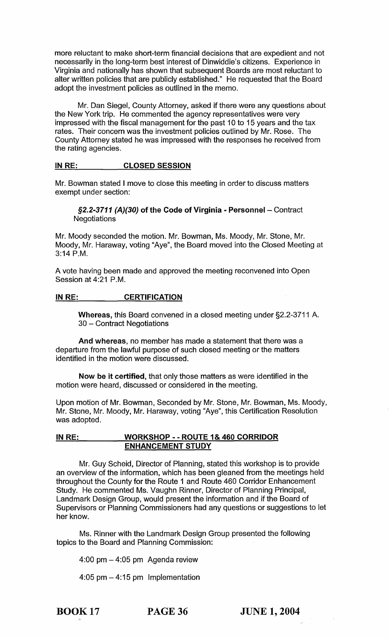more reluctant to make short-term financial decisions that are expedient and not necessarily in the long-term best interest of Dinwiddie's citizens. Experience in Virginia and nationally has shown that subsequent Boards are most reluctant to alter written policies that are publicly established." He requested that the Board adopt the investment policies as outlined in the memo.

Mr. Dan Siegel, County Attorney, asked if there were any questions about the New York trip. He commented the agency representatives were very impressed with the fiscal management for the past 10 to 15 years and the tax rates. Their concern was the investment policies outlined by Mr. Rose. The County Attorney stated he was impressed with the responses he received from the rating agencies.

#### **IN RE: CLOSED SESSION**

Mr. Bowman stated I move to close this meeting in order to discuss matters exempt under section:

## **§2.2-3711 (A)(30) of the Code of Virginia - Personnel - Contract** Negotiations

Mr. Moody seconded the motion. Mr. Bowman, Ms. Moody, Mr. Stone, Mr. Moody, Mr. Haraway, voting "Aye", the Board moved into the Closed Meeting at 3:14 P.M.

A vote having been made and approved the meeting reconvened into Open Session at 4:21 P.M.

#### **IN RE: CERTIFICATION**

**Whereas,** this Board convened in a closed meeting under §2.2-3711 A. 30 - Contract Negotiations

**And whereas,** no member has made a statement that there was a departure from the lawful purpose of such closed meeting or the matters identified in the motion were discussed.

**Now be it certified,** that only those matters as were identified in the motion were heard, discussed or considered in the meeting.

Upon motion of Mr. Bowman, Seconded by Mr. Stone, Mr. Bowman, Ms. Moody, Mr. Stone, Mr. Moody, Mr. Haraway, voting "Aye", this Certification Resolution was adopted.

## **IN RE:** WORKSHOP - - ROUTE 1& 460 CORRIDOR **ENHANCEMENT STUDY**

Mr. Guy Scheid, Director of Planning, stated this workshop is to provide an overview of the information, which has been gleaned from the meetings held throughout the County for the Route 1 and Route 460 Corridor Enhancement Study. He commented Ms. Vaughn Rinner, Director of Planning Principal, Landmark Design Group, would present the information and if the Board of Supervisors or Planning Commissioners had any questions or suggestions to let her know.

Ms. Rinner with the Landmark Design Group presented the following topics to the Board and Planning Commission:

4:00 pm  $-$  4:05 pm Agenda review

4:05 pm - 4:15 pm Implementation

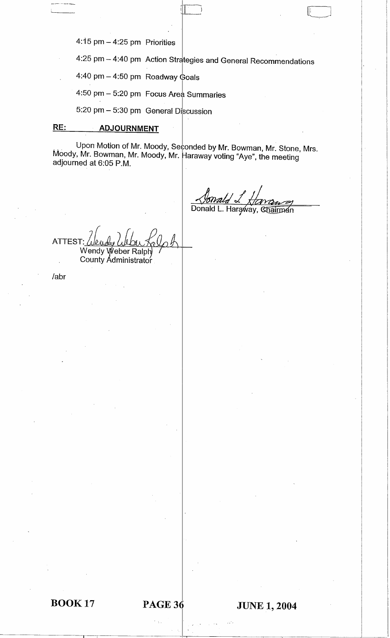$4:15$  pm  $-4:25$  pm Priorities

4:25 pm - 4:40 pm Action Strategies and General Recommendations

L,

4:40 pm - 4:50 pm Roadway Goals

4:50 pm – 5:20 pm Focus Area Summaries

. In the second second second second second second second second second second second second second second second second second second second second second second second second second second second second second second sec

5:20 pm – 5:30 pm General Discussion

# **RE: ADJOURNMENT**

 $\epsilon_{\rm max}$  Upon Motion of Mr. Moody, Seconded by Mr. Bowman, Mr. Stone, Mrs. Moody, Mr. Bowman, Mr. Moody, Mr. Haraway voting "Aye", the meeting adjourned at 6:05 P.M.  $\vert$ 

Donald L. Haraway, Chairman

 $\begin{picture}(10,10) \put(0,0){\line(1,0){10}} \put(10,0){\line(1,0){10}} \put(10,0){\line(1,0){10}} \put(10,0){\line(1,0){10}} \put(10,0){\line(1,0){10}} \put(10,0){\line(1,0){10}} \put(10,0){\line(1,0){10}} \put(10,0){\line(1,0){10}} \put(10,0){\line(1,0){10}} \put(10,0){\line(1,0){10}} \put(10,0){\line(1,0){10}} \put(10,0){\line(1$ 

ATTEST: Zleudy Zelber Lalph Wendy Weber Ralph County Administrator

labr

'-

: -t.